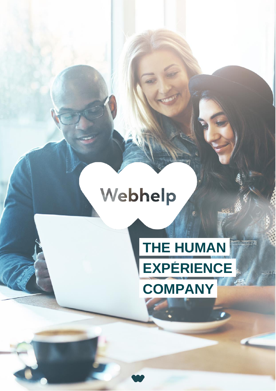## Webhelp

### **THE HUMANResidence The EXPÉRIENCE COMPANY**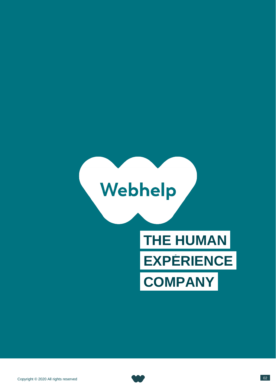# Webhelp

## **THE HUMAN EXPERIENCE COMPANY**

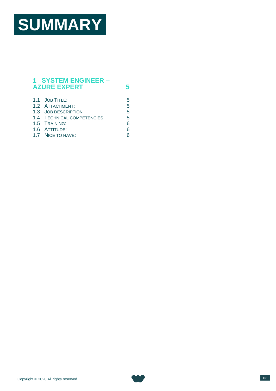## **SUMMARY**

#### **1 [SYSTEM ENGINEER –](#page-4-0) [AZURE EXPERT](#page-4-0) 5**

| 1.1 JOB TITLE:              | 5 |
|-----------------------------|---|
| 1.2 ATTACHMENT:             | 5 |
| 1.3 JOB DESCRIPTION         | 5 |
| 1.4 TECHNICAL COMPETENCIES: | 5 |
| 1.5 TRAINING:               |   |
| 1.6 ATTITUDE:               |   |
| 1.7 NICE TO HAVE:           |   |
|                             |   |

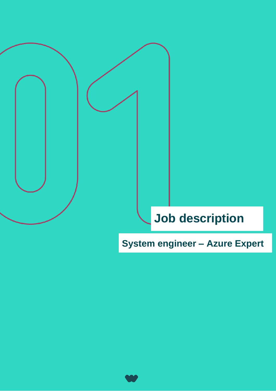### **Job description**

**System engineer – Azure Expert**

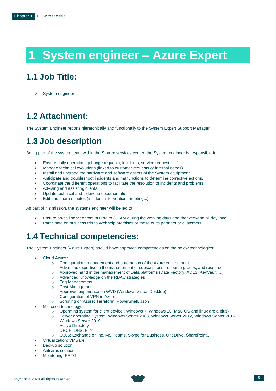### **1 System engineer – Azure Expert**

#### <span id="page-4-1"></span><span id="page-4-0"></span>**1.1 Job Title:**

System engineer

#### <span id="page-4-2"></span>**1.2 Attachment:**

The System Engineer reports hierarchically and functionally to the System Expert Support Manager.

#### <span id="page-4-3"></span>**1.3 Job description**

Being part of the system team within the Shared services center, the System engineer is responsible for:

- Ensure daily operations (change requests, incidents, service requests, ...).
- Manage technical evolutions (linked to customer requests or internal needs).
- Install and upgrade the hardware and software assets of the System equipment.
- Anticipate and troubleshoot incidents and malfunctions to determine corrective actions.
- Coordinate the different operations to facilitate the resolution of incidents and problems
- Advising and assisting clients.
- Update technical and follow-up documentation.
- Edit and share minutes (incident, intervention, meeting...).

As part of his mission, the systems engineer will be led to:

- Ensure on-call service from 8H PM to 8H AM during the working days and the weekend all day long.
- Participate on business trip to Webhelp premises or those of its partners or customers.

#### <span id="page-4-4"></span>**1.4 Technical competencies:**

The System Engineer (Azure Expert) should have approved competencies on the below technologies:

- Cloud Azure :
	- o Configuration, management and automation of the Azure environment
	- o Advanced expertise in the management of subscriptions, resource groups, and resources
	- o Approved hand in the management of Data platforms (Data Factory, ADLS, KeyVault ,...)
	- o Advanced Knowledge on the RBAC strategies
	- o Tag Management
	- o Cost Management
	- o Approved experience on WVD (Windows Virtual Desktop)
	- o Configuration of VPN in Azure
	- o Scripting on Azure: Terraform, PowerShell, Json
- Microsoft technology:
	- o Operating system for client device : Windows 7, Windows 10 (MaC OS and linux are a plus)
	- o Server operating System: Windows Server 2008, Windows Server 2012, Windows Server 2016, Windows Server 2019
	- o Active Directory
	- o DHCP, DNS, Filer
	- o O365: Exchange online, MS Teams, Skype for Business, OneDrive, SharePoint,…
- Virtualization: VMware
- **Backup solution**
- Antivirus solution
- Monitoring: PRTG